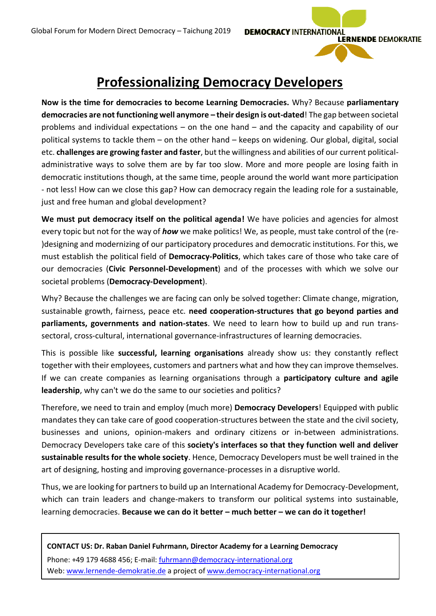**DEMOCRACY INTERNATIONAL** 

**LERNENDE DEMOKRATIE** 



**Now is the time for democracies to become Learning Democracies.** Why? Because **parliamentary democracies are not functioning well anymore – their design is out-dated**! The gap between societal problems and individual expectations – on the one hand – and the capacity and capability of our political systems to tackle them – on the other hand – keeps on widening. Our global, digital, social etc. **challenges are growing faster and faster**, but the willingness and abilities of our current politicaladministrative ways to solve them are by far too slow. More and more people are losing faith in democratic institutions though, at the same time, people around the world want more participation - not less! How can we close this gap? How can democracy regain the leading role for a sustainable, just and free human and global development?

**We must put democracy itself on the political agenda!** We have policies and agencies for almost every topic but not for the way of *how* we make politics! We, as people, must take control of the (re- )designing and modernizing of our participatory procedures and democratic institutions. For this, we must establish the political field of **Democracy-Politics**, which takes care of those who take care of our democracies (**Civic Personnel-Development**) and of the processes with which we solve our societal problems (**Democracy-Development**).

Why? Because the challenges we are facing can only be solved together: Climate change, migration, sustainable growth, fairness, peace etc. **need cooperation-structures that go beyond parties and parliaments, governments and nation-states**. We need to learn how to build up and run transsectoral, cross-cultural, international governance-infrastructures of learning democracies.

This is possible like **successful, learning organisations** already show us: they constantly reflect together with their employees, customers and partners what and how they can improve themselves. If we can create companies as learning organisations through a **participatory culture and agile leadership**, why can't we do the same to our societies and politics?

Therefore, we need to train and employ (much more) **Democracy Developers**! Equipped with public mandates they can take care of good cooperation-structures between the state and the civil society, businesses and unions, opinion-makers and ordinary citizens or in-between administrations. Democracy Developers take care of this **society's interfaces so that they function well and deliver sustainable results for the whole society**. Hence, Democracy Developers must be well trained in the art of designing, hosting and improving governance-processes in a disruptive world.

Thus, we are looking for partners to build up an International Academy for Democracy-Development, which can train leaders and change-makers to transform our political systems into sustainable, learning democracies. **Because we can do it better – much better – we can do it together!**

**CONTACT US: Dr. Raban Daniel Fuhrmann, Director Academy for a Learning Democracy** Phone: +49 179 4688 456; E-mail[: fuhrmann@democracy-international.org](mailto:fuhrmann@democracy-international.org) Web[: www.lernende-demokratie.de](http://www.lernende-demokratie.de/) a project of [www.democracy-international.org](http://www.democracy-international.org/)